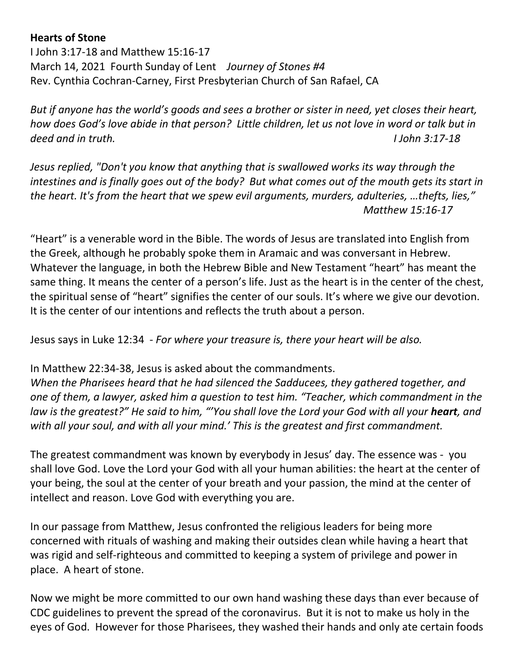## **Hearts of Stone**

I John 3:17-18 and Matthew 15:16-17 March 14, 2021 Fourth Sunday of Lent *Journey of Stones #4* Rev. Cynthia Cochran-Carney, First Presbyterian Church of San Rafael, CA

*But if anyone has the world's goods and sees a brother or sister in need, yet closes their heart, how does God's love abide in that person? Little children, let us not love in word or talk but in deed and in truth. I John 3:17-18*

*Jesus replied, "Don't you know that anything that is swallowed works its way through the intestines and is finally goes out of the body? But what comes out of the mouth gets its start in the heart. It's from the heart that we spew evil arguments, murders, adulteries, …thefts, lies," Matthew 15:16-17*

"Heart" is a venerable word in the Bible. The words of Jesus are translated into English from the Greek, although he probably spoke them in Aramaic and was conversant in Hebrew. Whatever the language, in both the Hebrew Bible and New Testament "heart" has meant the same thing. It means the center of a person's life. Just as the heart is in the center of the chest, the spiritual sense of "heart" signifies the center of our souls. It's where we give our devotion. It is the center of our intentions and reflects the truth about a person.

Jesus says in Luke 12:34 - *For where your treasure is, there your heart will be also.*

In Matthew 22:34-38, Jesus is asked about the commandments.

*When the Pharisees heard that he had silenced the Sadducees, they gathered together, and one of them, a lawyer, asked him a question to test him. "Teacher, which commandment in the law is the greatest?" He said to him, "'You shall love the Lord your God with all your heart, and with all your soul, and with all your mind.' This is the greatest and first commandment.* 

The greatest commandment was known by everybody in Jesus' day. The essence was - you shall love God. Love the Lord your God with all your human abilities: the heart at the center of your being, the soul at the center of your breath and your passion, the mind at the center of intellect and reason. Love God with everything you are.

In our passage from Matthew, Jesus confronted the religious leaders for being more concerned with rituals of washing and making their outsides clean while having a heart that was rigid and self-righteous and committed to keeping a system of privilege and power in place. A heart of stone.

Now we might be more committed to our own hand washing these days than ever because of CDC guidelines to prevent the spread of the coronavirus. But it is not to make us holy in the eyes of God. However for those Pharisees, they washed their hands and only ate certain foods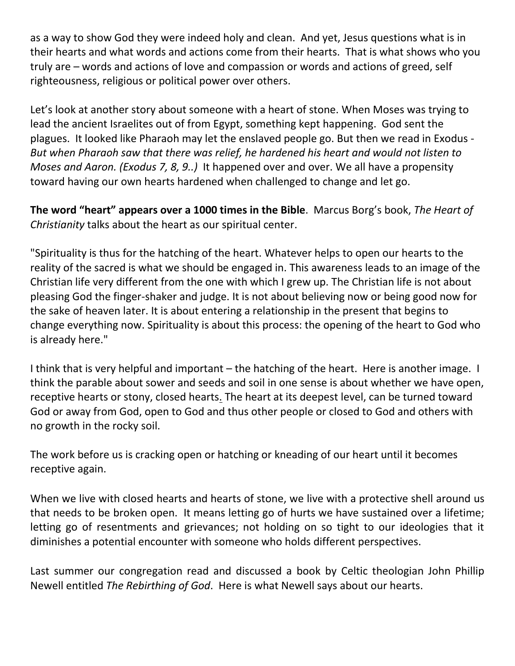as a way to show God they were indeed holy and clean. And yet, Jesus questions what is in their hearts and what words and actions come from their hearts. That is what shows who you truly are – words and actions of love and compassion or words and actions of greed, self righteousness, religious or political power over others.

Let's look at another story about someone with a heart of stone. When Moses was trying to lead the ancient Israelites out of from Egypt, something kept happening. God sent the plagues. It looked like Pharaoh may let the enslaved people go. But then we read in Exodus - *But when Pharaoh saw that there was relief, he hardened his heart and would not listen to Moses and Aaron. (Exodus 7, 8, 9..)* It happened over and over. We all have a propensity toward having our own hearts hardened when challenged to change and let go.

**The word "heart" appears over a 1000 times in the Bible**. Marcus Borg's book, *The Heart of Christianity* talks about the heart as our spiritual center.

"Spirituality is thus for the hatching of the heart. Whatever helps to open our hearts to the reality of the sacred is what we should be engaged in. This awareness leads to an image of the Christian life very different from the one with which I grew up. The Christian life is not about pleasing God the finger-shaker and judge. It is not about believing now or being good now for the sake of heaven later. It is about entering a relationship in the present that begins to change everything now. Spirituality is about this process: the opening of the heart to God who is already here."

I think that is very helpful and important – the hatching of the heart. Here is another image. I think the parable about sower and seeds and soil in one sense is about whether we have open, receptive hearts or stony, closed hearts. The heart at its deepest level, can be turned toward God or away from God, open to God and thus other people or closed to God and others with no growth in the rocky soil.

The work before us is cracking open or hatching or kneading of our heart until it becomes receptive again.

When we live with closed hearts and hearts of stone, we live with a protective shell around us that needs to be broken open. It means letting go of hurts we have sustained over a lifetime; letting go of resentments and grievances; not holding on so tight to our ideologies that it diminishes a potential encounter with someone who holds different perspectives.

Last summer our congregation read and discussed a book by Celtic theologian John Phillip Newell entitled *The Rebirthing of God*. Here is what Newell says about our hearts.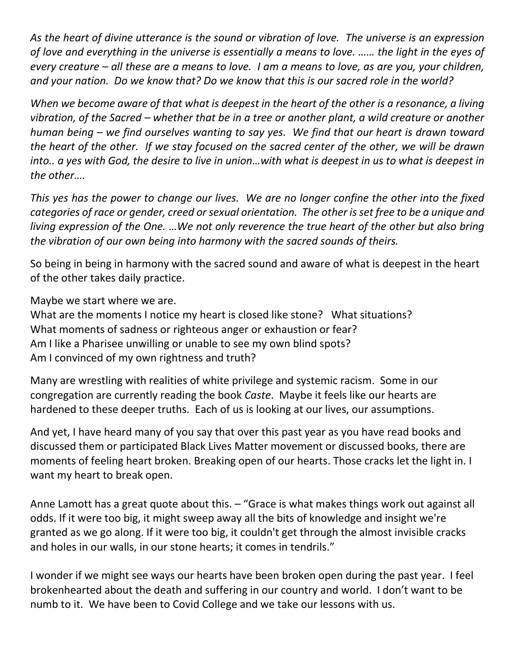*As the heart of divine utterance is the sound or vibration of love. The universe is an expression of love and everything in the universe is essentially a means to love. …… the light in the eyes of every creature – all these are a means to love. I am a means to love, as are you, your children, and your nation. Do we know that? Do we know that this is our sacred role in the world?*

*When we become aware of that what is deepest in the heart of the other is a resonance, a living vibration, of the Sacred – whether that be in a tree or another plant, a wild creature or another human being – we find ourselves wanting to say yes. We find that our heart is drawn toward the heart of the other. If we stay focused on the sacred center of the other, we will be drawn into.. a yes with God, the desire to live in union…with what is deepest in us to what is deepest in the other….* 

*This yes has the power to change our lives. We are no longer confine the other into the fixed categories of race or gender, creed or sexual orientation. The other is set free to be a unique and living expression of the One. …We not only reverence the true heart of the other but also bring the vibration of our own being into harmony with the sacred sounds of theirs.* 

So being in being in harmony with the sacred sound and aware of what is deepest in the heart of the other takes daily practice.

Maybe we start where we are.

What are the moments I notice my heart is closed like stone? What situations? What moments of sadness or righteous anger or exhaustion or fear? Am I like a Pharisee unwilling or unable to see my own blind spots? Am I convinced of my own rightness and truth?

Many are wrestling with realities of white privilege and systemic racism. Some in our congregation are currently reading the book *Caste*. Maybe it feels like our hearts are hardened to these deeper truths. Each of us is looking at our lives, our assumptions.

And yet, I have heard many of you say that over this past year as you have read books and discussed them or participated Black Lives Matter movement or discussed books, there are moments of feeling heart broken. Breaking open of our hearts. Those cracks let the light in. I want my heart to break open.

Anne Lamott has a great quote about this. – "Grace is what makes things work out against all odds. If it were too big, it might sweep away all the bits of knowledge and insight we're granted as we go along. If it were too big, it couldn't get through the almost invisible cracks and holes in our walls, in our stone hearts; it comes in tendrils."

I wonder if we might see ways our hearts have been broken open during the past year. I feel brokenhearted about the death and suffering in our country and world. I don't want to be numb to it. We have been to Covid College and we take our lessons with us.